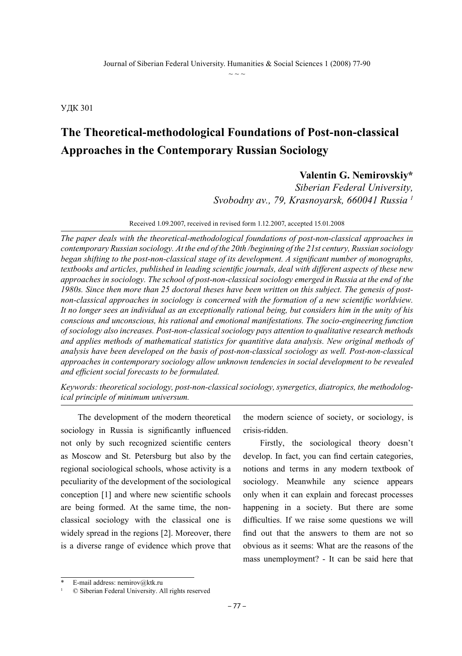УДК 301

## **The Theoretical-methodological Foundations of Post-non-classical Approaches in the Contemporary Russian Sociology**

## **Valentin G. Nemirovskiy\***

*Siberian Federal University, Svobodny av., 79, Krasnoyarsk, 660041 Russia 1*

Received 1.09.2007, received in revised form 1.12.2007, accepted 15.01.2008

*The paper deals with the theoretical-methodological foundations of post-non-classical approaches in contemporary Russian sociology. At the end of the 20th /beginning of the 21st century, Russian sociology began shifting to the post-non-classical stage of its development. A significant number of monographs, textbooks and articles, published in leading scientific journals, deal with different aspects of these new approaches in sociology. The school of post-non-classical sociology emerged in Russia at the end of the 1980s. Since then more than 25 doctoral theses have been written on this subject. The genesis of postnon-classical approaches in sociology is concerned with the formation of a new scientific worldview. It no longer sees an individual as an exceptionally rational being, but considers him in the unity of his conscious and unconscious, his rational and emotional manifestations. The socio-engineering function of sociology also increases. Post-non-classical sociology pays attention to qualitative research methods and applies methods of mathematical statistics for quantitive data analysis. New original methods of analysis have been developed on the basis of post-non-classical sociology as well. Post-non-classical approaches in contemporary sociology allow unknown tendencies in social development to be revealed and efficient social forecasts to be formulated.*

*Keywords: theoretical sociology, post-non-classical sociology, synergetics, diatropics, the methodological principle of minimum universum.*

The development of the modern theoretical sociology in Russia is significantly influenced not only by such recognized scientific centers as Moscow and St. Petersburg but also by the regional sociological schools, whose activity is a peculiarity of the development of the sociological conception [1] and where new scientific schools are being formed. At the same time, the nonclassical sociology with the classical one is widely spread in the regions [2]. Moreover, there is a diverse range of evidence which prove that

the modern science of society, or sociology, is crisis-ridden.

Firstly, the sociological theory doesn't develop. In fact, you can find certain categories, notions and terms in any modern textbook of sociology. Meanwhile any science appears only when it can explain and forecast processes happening in a society. But there are some difficulties. If we raise some questions we will find out that the answers to them are not so obvious as it seems: What are the reasons of the mass unemployment? - It can be said here that

E-mail address: nemirov@ktk.ru

 $©$  Siberian Federal University. All rights reserved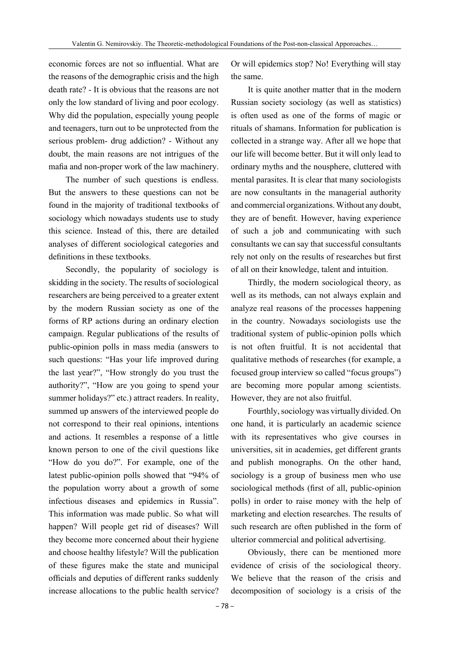economic forces are not so influential. What are the reasons of the demographic crisis and the high death rate? - It is obvious that the reasons are not only the low standard of living and poor ecology. Why did the population, especially young people and teenagers, turn out to be unprotected from the serious problem- drug addiction? - Without any doubt, the main reasons are not intrigues of the mafia and non-proper work of the law machinery.

The number of such questions is endless. But the answers to these questions can not be found in the majority of traditional textbooks of sociology which nowadays students use to study this science. Instead of this, there are detailed analyses of different sociological categories and definitions in these textbooks.

Secondly, the popularity of sociology is skidding in the society. The results of sociological researchers are being perceived to a greater extent by the modern Russian society as one of the forms of RP actions during an ordinary election campaign. Regular publications of the results of public-opinion polls in mass media (answers to such questions: "Has your life improved during the last year?", "How strongly do you trust the authority?", "How are you going to spend your summer holidays?" etc.) attract readers. In reality, summed up answers of the interviewed people do not correspond to their real opinions, intentions and actions. It resembles a response of a little known person to one of the civil questions like "How do you do?". For example, one of the latest public-opinion polls showed that "94% of the population worry about a growth of some infectious diseases and epidemics in Russia". This information was made public. So what will happen? Will people get rid of diseases? Will they become more concerned about their hygiene and choose healthy lifestyle? Will the publication of these figures make the state and municipal officials and deputies of different ranks suddenly increase allocations to the public health service?

Or will epidemics stop? No! Everything will stay the same.

It is quite another matter that in the modern Russian society sociology (as well as statistics) is often used as one of the forms of magic or rituals of shamans. Information for publication is collected in a strange way. After all we hope that our life will become better. But it will only lead to ordinary myths and the nousphere, cluttered with mental parasites. It is clear that many sociologists are now consultants in the managerial authority and commercial organizations. Without any doubt, they are of benefit. However, having experience of such a job and communicating with such consultants we can say that successful consultants rely not only on the results of researches but first of all on their knowledge, talent and intuition.

Thirdly, the modern sociological theory, as well as its methods, can not always explain and analyze real reasons of the processes happening in the country. Nowadays sociologists use the traditional system of public-opinion polls which is not often fruitful. It is not accidental that qualitative methods of researches (for example, a focused group interview so called "focus groups") are becoming more popular among scientists. However, they are not also fruitful.

Fourthly, sociology was virtually divided. On one hand, it is particularly an academic science with its representatives who give courses in universities, sit in academies, get different grants and publish monographs. On the other hand, sociology is a group of business men who use sociological methods (first of all, public-opinion polls) in order to raise money with the help of marketing and election researches. The results of such research are often published in the form of ulterior commercial and political advertising.

Obviously, there can be mentioned more evidence of crisis of the sociological theory. We believe that the reason of the crisis and decomposition of sociology is a crisis of the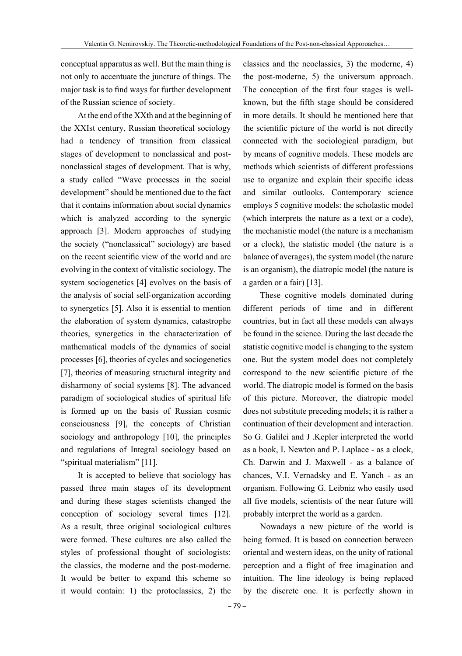conceptual apparatus as well. But the main thing is not only to accentuate the juncture of things. The major task is to find ways for further development of the Russian science of society.

At the end of the XXth and at the beginning of the XXIst century, Russian theoretical sociology had a tendency of transition from classical stages of development to nonclassical and postnonclassical stages of development. That is why, a study called "Wave processes in the social development" should be mentioned due to the fact that it contains information about social dynamics which is analyzed according to the synergic approach [3]. Modern approaches of studying the society ("nonclassical" sociology) are based on the recent scientific view of the world and are evolving in the context of vitalistic sociology. The system sociogenetics [4] evolves on the basis of the analysis of social self-organization according to synergetics [5]. Also it is essential to mention the elaboration of system dynamics, catastrophe theories, synergetics in the characterization of mathematical models of the dynamics of social processes [6], theories of cycles and sociogenetics [7], theories of measuring structural integrity and disharmony of social systems [8]. The advanced paradigm of sociological studies of spiritual life is formed up on the basis of Russian cosmic consciousness [9], the concepts of Christian sociology and anthropology [10], the principles and regulations of Integral sociology based on "spiritual materialism" [11].

It is accepted to believe that sociology has passed three main stages of its development and during these stages scientists changed the conception of sociology several times [12]. As a result, three original sociological cultures were formed. These cultures are also called the styles of professional thought of sociologists: the classics, the moderne and the post-moderne. It would be better to expand this scheme so it would contain: 1) the protoclassics, 2) the

classics and the neoclassics, 3) the moderne, 4) the post-moderne, 5) the universum approach. The conception of the first four stages is wellknown, but the fifth stage should be considered in more details. It should be mentioned here that the scientific picture of the world is not directly connected with the sociological paradigm, but by means of cognitive models. These models are methods which scientists of different professions use to organize and explain their specific ideas and similar outlooks. Contemporary science employs 5 cognitive models: the scholastic model (which interprets the nature as a text or a code), the mechanistic model (the nature is a mechanism or a clock), the statistic model (the nature is a balance of averages), the system model (the nature is an organism), the diatropic model (the nature is a garden or a fair) [13].

These cognitive models dominated during different periods of time and in different countries, but in fact all these models can always be found in the science. During the last decade the statistic cognitive model is changing to the system one. But the system model does not completely correspond to the new scientific picture of the world. The diatropic model is formed on the basis of this picture. Moreover, the diatropic model does not substitute preceding models; it is rather a continuation of their development and interaction. So G. Galilei and J .Kepler interpreted the world as a book, I. Newton and P. Laplace - as a clock, Ch. Darwin and J. Maxwell - as a balance of chances, V.I. Vernadsky and E. Yanch - as an organism. Following G. Leibniz who easily used all five models, scientists of the near future will probably interpret the world as a garden.

Nowadays a new picture of the world is being formed. It is based on connection between oriental and western ideas, on the unity of rational perception and a flight of free imagination and intuition. The line ideology is being replaced by the discrete one. It is perfectly shown in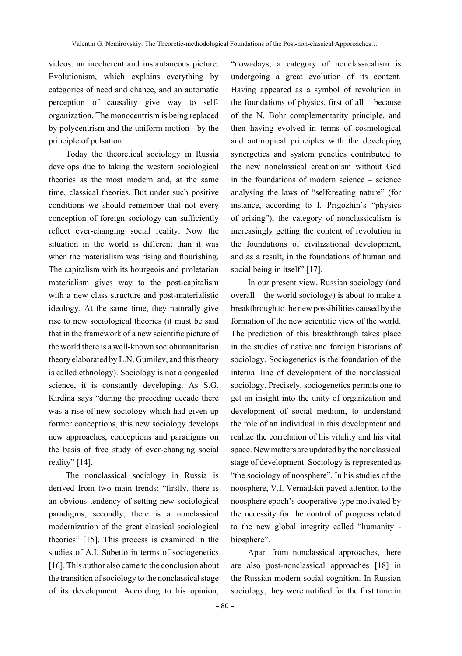videos: an incoherent and instantaneous picture. Evolutionism, which explains everything by categories of need and chance, and an automatic perception of causality give way to selforganization. The monocentrism is being replaced by polycentrism and the uniform motion - by the principle of pulsation.

Today the theoretical sociology in Russia develops due to taking the western sociological theories as the most modern and, at the same time, classical theories. But under such positive conditions we should remember that not every conception of foreign sociology can sufficiently reflect ever-changing social reality. Now the situation in the world is different than it was when the materialism was rising and flourishing. The capitalism with its bourgeois and proletarian materialism gives way to the post-capitalism with a new class structure and post-materialistic ideology. At the same time, they naturally give rise to new sociological theories (it must be said that in the framework of a new scientific picture of the world there is a well-known sociohumanitarian theory elaborated by L.N. Gumilev, and this theory is called ethnology). Sociology is not a congealed science, it is constantly developing. As S.G. Kirdina says "during the preceding decade there was a rise of new sociology which had given up former conceptions, this new sociology develops new approaches, conceptions and paradigms on the basis of free study of ever-changing social reality" [14].

The nonclassical sociology in Russia is derived from two main trends: "firstly, there is an obvious tendency of setting new sociological paradigms; secondly, there is a nonclassical modernization of the great classical sociological theories" [15]. This process is examined in the studies of A.I. Subetto in terms of sociogenetics [16]. This author also came to the conclusion about the transition of sociology to the nonclassical stage of its development. According to his opinion,

"nowadays, a category of nonclassicalism is undergoing a great evolution of its content. Having appeared as a symbol of revolution in the foundations of physics, first of all – because of the N. Bohr complementarity principle, and then having evolved in terms of cosmological and anthropical principles with the developing synergetics and system genetics contributed to the new nonclassical creationism without God in the foundations of modern science – science analysing the laws of "selfcreating nature" (for instance, according to I. Prigozhin`s "physics of arising"), the category of nonclassicalism is increasingly getting the content of revolution in the foundations of civilizational development, and as a result, in the foundations of human and social being in itself" [17].

In our present view, Russian sociology (and overall – the world sociology) is about to make a breakthrough to the new possibilities caused by the formation of the new scientific view of the world. The prediction of this breakthrough takes place in the studies of native and foreign historians of sociology. Sociogenetics is the foundation of the internal line of development of the nonclassical sociology. Precisely, sociogenetics permits one to get an insight into the unity of organization and development of social medium, to understand the role of an individual in this development and realize the correlation of his vitality and his vital space. New matters are updated by the nonclassical stage of development. Sociology is represented as "the sociology of noosphere". In his studies of the noosphere, V.I. Vernadskii payed attention to the noosphere epoch's cooperative type motivated by the necessity for the control of progress related to the new global integrity called "humanity biosphere".

Apart from nonclassical approaches, there are also post-nonclassical approaches [18] in the Russian modern social cognition. In Russian sociology, they were notified for the first time in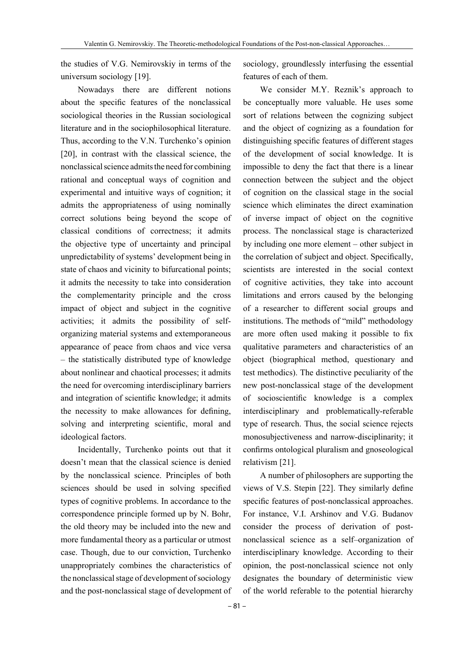the studies of V.G. Nemirovskiy in terms of the universum sociology [19].

Nowadays there are different notions about the specific features of the nonclassical sociological theories in the Russian sociological literature and in the sociophilosophical literature. Thus, according to the V.N. Turchenko's opinion [20], in contrast with the classical science, the nonclassical science admits the need for combining rational and conceptual ways of cognition and experimental and intuitive ways of cognition; it admits the appropriateness of using nominally correct solutions being beyond the scope of classical conditions of correctness; it admits the objective type of uncertainty and principal unpredictability of systems' development being in state of chaos and vicinity to bifurcational points; it admits the necessity to take into consideration the complementarity principle and the cross impact of object and subject in the cognitive activities; it admits the possibility of selforganizing material systems and extemporaneous appearance of peace from chaos and vice versa – the statistically distributed type of knowledge about nonlinear and chaotical processes; it admits the need for overcoming interdisciplinary barriers and integration of scientific knowledge; it admits the necessity to make allowances for defining, solving and interpreting scientific, moral and ideological factors.

Incidentally, Turchenko points out that it doesn't mean that the classical science is denied by the nonclassical science. Principles of both sciences should be used in solving specified types of cognitive problems. In accordance to the correspondence principle formed up by N. Bohr, the old theory may be included into the new and more fundamental theory as a particular or utmost case. Though, due to our conviction, Turchenko unappropriately combines the characteristics of the nonclassical stage of development of sociology and the post-nonclassical stage of development of sociology, groundlessly interfusing the essential features of each of them.

We consider M.Y. Reznik's approach to be conceptually more valuable. He uses some sort of relations between the cognizing subject and the object of cognizing as a foundation for distinguishing specific features of different stages of the development of social knowledge. It is impossible to deny the fact that there is a linear connection between the subject and the object of cognition on the classical stage in the social science which eliminates the direct examination of inverse impact of object on the cognitive process. The nonclassical stage is characterized by including one more element – other subject in the correlation of subject and object. Specifically, scientists are interested in the social context of cognitive activities, they take into account limitations and errors caused by the belonging of a researcher to different social groups and institutions. The methods of "mild" methodology are more often used making it possible to fix qualitative parameters and characteristics of an object (biographical method, questionary and test methodics). The distinctive peculiarity of the new post-nonclassical stage of the development of socioscientific knowledge is a complex interdisciplinary and problematically-referable type of research. Thus, the social science rejects monosubjectiveness and narrow-disciplinarity; it confirms ontological pluralism and gnoseological relativism [21].

A number of philosophers are supporting the views of V.S. Stepin [22]. They similarly define specific features of post-nonclassical approaches. For instance, V.I. Arshinov and V.G. Budanov consider the process of derivation of postnonclassical science as a self–organization of interdisciplinary knowledge. According to their opinion, the post-nonclassical science not only designates the boundary of deterministic view of the world referable to the potential hierarchy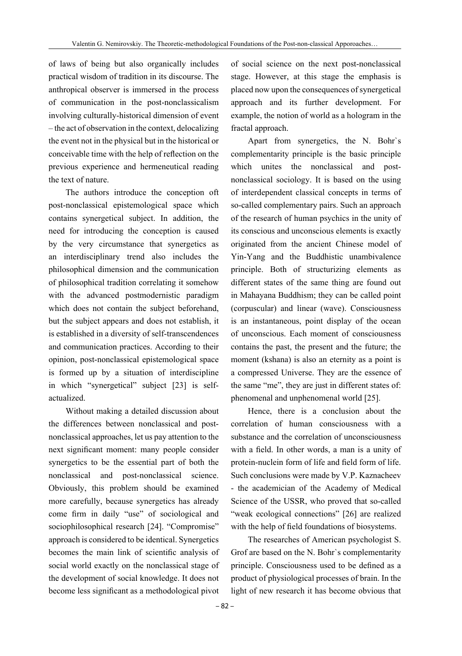of laws of being but also organically includes practical wisdom of tradition in its discourse. The anthropical observer is immersed in the process of communication in the post-nonclassicalism involving culturally-historical dimension of event – the act of observation in the context, delocalizing the event not in the physical but in the historical or conceivable time with the help of reflection on the previous experience and hermeneutical reading the text of nature.

The authors introduce the conception oft post-nonclassical epistemological space which contains synergetical subject. In addition, the need for introducing the conception is caused by the very circumstance that synergetics as an interdisciplinary trend also includes the philosophical dimension and the communication of philosophical tradition correlating it somehow with the advanced postmodernistic paradigm which does not contain the subject beforehand, but the subject appears and does not establish, it is established in a diversity of self-transcendences and communication practices. According to their opinion, post-nonclassical epistemological space is formed up by a situation of interdiscipline in which "synergetical" subject [23] is selfactualized.

Without making a detailed discussion about the differences between nonclassical and postnonclassical approaches, let us pay attention to the next significant moment: many people consider synergetics to be the essential part of both the nonclassical and post-nonclassical science. Obviously, this problem should be examined more carefully, because synergetics has already come firm in daily "use" of sociological and sociophilosophical research [24]. "Compromise" approach is considered to be identical. Synergetics becomes the main link of scientific analysis of social world exactly on the nonclassical stage of the development of social knowledge. It does not become less significant as a methodological pivot

– 82 –

of social science on the next post-nonclassical stage. However, at this stage the emphasis is placed now upon the consequences of synergetical approach and its further development. For example, the notion of world as a hologram in the fractal approach.

Apart from synergetics, the N. Bohr`s complementarity principle is the basic principle which unites the nonclassical and postnonclassical sociology. It is based on the using of interdependent classical concepts in terms of so-called complementary pairs. Such an approach of the research of human psychics in the unity of its conscious and unconscious elements is exactly originated from the ancient Chinese model of Yin-Yang and the Buddhistic unambivalence principle. Both of structurizing elements as different states of the same thing are found out in Mahayana Buddhism; they can be called point (corpuscular) and linear (wave). Consciousness is an instantaneous, point display of the ocean of unconscious. Each moment of consciousness contains the past, the present and the future; the moment (kshana) is also an eternity as a point is a compressed Universe. They are the essence of the same "me", they are just in different states of: phenomenal and unphenomenal world [25].

Hence, there is a conclusion about the correlation of human consciousness with a substance and the correlation of unconsciousness with a field. In other words, a man is a unity of protein-nuclein form of life and field form of life. Such conclusions were made by V.P. Kaznacheev - the academician of the Academy of Medical Science of the USSR, who proved that so-called "weak ecological connections" [26] are realized with the help of field foundations of biosystems.

The researches of American psychologist S. Grof are based on the N. Bohr`s complementarity principle. Consciousness used to be defined as a product of physiological processes of brain. In the light of new research it has become obvious that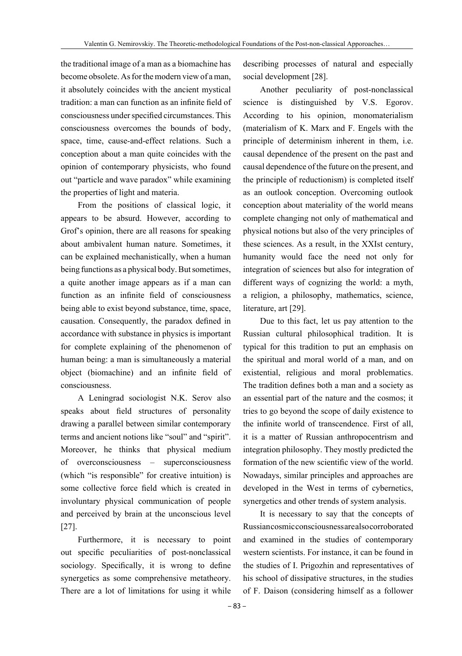the traditional image of a man as a biomachine has become obsolete. As for the modern view of a man, it absolutely coincides with the ancient mystical tradition: a man can function as an infinite field of consciousness under specified circumstances. This consciousness overcomes the bounds of body, space, time, cause-and-effect relations. Such a conception about a man quite coincides with the opinion of contemporary physicists, who found out "particle and wave paradox" while examining the properties of light and materia.

From the positions of classical logic, it appears to be absurd. However, according to Grof's opinion, there are all reasons for speaking about ambivalent human nature. Sometimes, it can be explained mechanistically, when a human being functions as a physical body. But sometimes, a quite another image appears as if a man can function as an infinite field of consciousness being able to exist beyond substance, time, space, causation. Consequently, the paradox defined in accordance with substance in physics is important for complete explaining of the phenomenon of human being: a man is simultaneously a material object (biomachine) and an infinite field of consciousness.

A Leningrad sociologist N.K. Serov also speaks about field structures of personality drawing a parallel between similar contemporary terms and ancient notions like "soul" and "spirit". Moreover, he thinks that physical medium of overconsciousness – superconsciousness (which "is responsible" for creative intuition) is some collective force field which is created in involuntary physical communication of people and perceived by brain at the unconscious level [27].

Furthermore, it is necessary to point out specific peculiarities of post-nonclassical sociology. Specifically, it is wrong to define synergetics as some comprehensive metatheory. There are a lot of limitations for using it while

describing processes of natural and especially social development [28].

Another peculiarity of post-nonclassical science is distinguished by V.S. Egorov. According to his opinion, monomaterialism (materialism of K. Marx and F. Engels with the principle of determinism inherent in them, i.e. causal dependence of the present on the past and causal dependence of the future on the present, and the principle of reductionism) is completed itself as an outlook conception. Overcoming outlook conception about materiality of the world means complete changing not only of mathematical and physical notions but also of the very principles of these sciences. As a result, in the XXIst century, humanity would face the need not only for integration of sciences but also for integration of different ways of cognizing the world: a myth, a religion, a philosophy, mathematics, science, literature, art [29].

Due to this fact, let us pay attention to the Russian cultural philosophical tradition. It is typical for this tradition to put an emphasis on the spiritual and moral world of a man, and on existential, religious and moral problematics. The tradition defines both a man and a society as an essential part of the nature and the cosmos; it tries to go beyond the scope of daily existence to the infinite world of transcendence. First of all, it is a matter of Russian anthropocentrism and integration philosophy. They mostly predicted the formation of the new scientific view of the world. Nowadays, similar principles and approaches are developed in the West in terms of cybernetics, synergetics and other trends of system analysis.

It is necessary to say that the concepts of Russian cosmic consciousness are also corroborated and examined in the studies of contemporary western scientists. For instance, it can be found in the studies of I. Prigozhin and representatives of his school of dissipative structures, in the studies of F. Daison (considering himself as a follower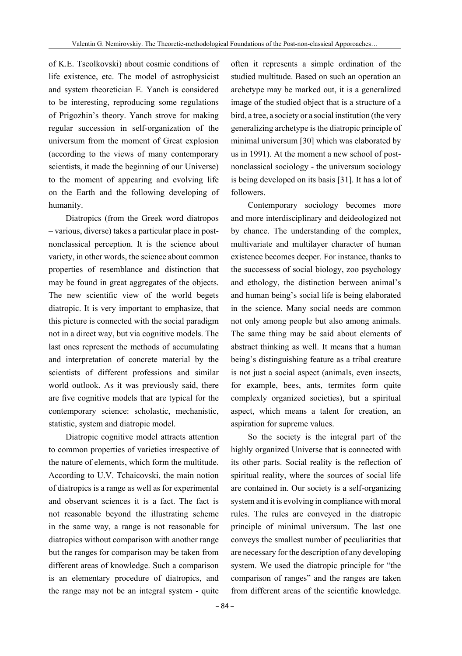of K.E. Tseolkovski) about cosmic conditions of life existence, etc. The model of astrophysicist and system theoretician E. Yanch is considered to be interesting, reproducing some regulations of Prigozhin's theory. Yanch strove for making regular succession in self-organization of the universum from the moment of Great explosion (according to the views of many contemporary scientists, it made the beginning of our Universe) to the moment of appearing and evolving life on the Earth and the following developing of humanity.

Diatropics (from the Greek word diatropos – various, diverse) takes a particular place in postnonclassical perception. It is the science about variety, in other words, the science about common properties of resemblance and distinction that may be found in great aggregates of the objects. The new scientific view of the world begets diatropic. It is very important to emphasize, that this picture is connected with the social paradigm not in a direct way, but via cognitive models. The last ones represent the methods of accumulating and interpretation of concrete material by the scientists of different professions and similar world outlook. As it was previously said, there are five cognitive models that are typical for the contemporary science: scholastic, mechanistic, statistic, system and diatropic model.

Diatropic cognitive model attracts attention to common properties of varieties irrespective of the nature of elements, which form the multitude. According to U.V. Tchaicovski, the main notion of diatropics is a range as well as for experimental and observant sciences it is a fact. The fact is not reasonable beyond the illustrating scheme in the same way, a range is not reasonable for diatropics without comparison with another range but the ranges for comparison may be taken from different areas of knowledge. Such a comparison is an elementary procedure of diatropics, and the range may not be an integral system - quite

often it represents a simple ordination of the studied multitude. Based on such an operation an archetype may be marked out, it is a generalized image of the studied object that is a structure of a bird, a tree, a society or a social institution (the very generalizing archetype is the diatropic principle of minimal universum [30] which was elaborated by us in 1991). At the moment a new school of postnonclassical sociology - the universum sociology is being developed on its basis [31]. It has a lot of followers.

Contemporary sociology becomes more and more interdisciplinary and deideologized not by chance. The understanding of the complex, multivariate and multilayer character of human existence becomes deeper. For instance, thanks to the successess of social biology, zoo psychology and ethology, the distinction between animal's and human being's social life is being elaborated in the science. Many social needs are common not only among people but also among animals. The same thing may be said about elements of abstract thinking as well. It means that a human being's distinguishing feature as a tribal creature is not just a social aspect (animals, even insects, for example, bees, ants, termites form quite complexly organized societies), but a spiritual aspect, which means a talent for creation, an aspiration for supreme values.

So the society is the integral part of the highly organized Universe that is connected with its other parts. Social reality is the reflection of spiritual reality, where the sources of social life are contained in. Our society is a self-organizing system and it is evolving in compliance with moral rules. The rules are conveyed in the diatropic principle of minimal universum. The last one conveys the smallest number of peculiarities that are necessary for the description of any developing system. We used the diatropic principle for "the comparison of ranges" and the ranges are taken from different areas of the scientific knowledge.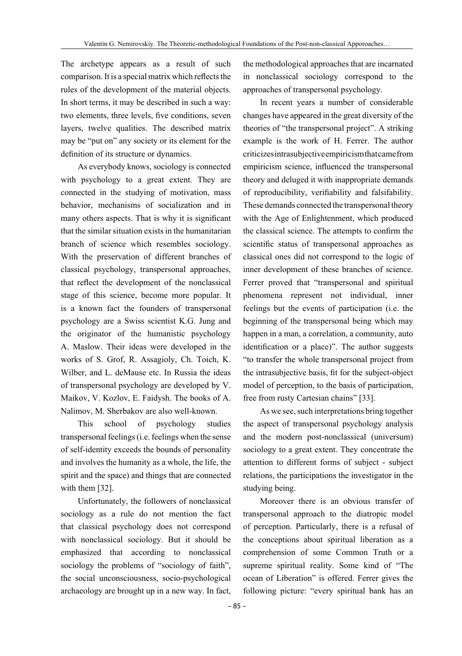The archetype appears as a result of such comparison. It is a special matrix which reflects the rules of the development of the material objects. In short terms, it may be described in such a way: two elements, three levels, five conditions, seven layers, twelve qualities. The described matrix may be "put on" any society or its element for the definition of its structure or dynamics.

As everybody knows, sociology is connected with psychology to a great extent. They are connected in the studying of motivation, mass behavior, mechanisms of socialization and in many others aspects. That is why it is significant that the similar situation exists in the humanitarian branch of science which resembles sociology. With the preservation of different branches of classical psychology, transpersonal approaches, that reflect the development of the nonclassical stage of this science, become more popular. It is a known fact the founders of transpersonal psychology are a Swiss scientist K.G. Jung and the originator of the humanistic psychology A. Maslow. Their ideas were developed in the works of S. Grof, R. Assagioly, Ch. Toich, K. Wilber, and L. deMause etc. In Russia the ideas of transpersonal psychology are developed by V. Maikov, V. Kozlov, E. Faidysh. The books of A. Nalimov, M. Sherbakov are also well-known.

This school of psychology studies transpersonal feelings (i.e. feelings when the sense of self-identity exceeds the bounds of personality and involves the humanity as a whole, the life, the spirit and the space) and things that are connected with them [32].

Unfortunately, the followers of nonclassical sociology as a rule do not mention the fact that classical psychology does not correspond with nonclassical sociology. But it should be emphasized that according to nonclassical sociology the problems of "sociology of faith", the social unconsciousness, socio-psychological archaeology are brought up in a new way. In fact,

the methodological approaches that are incarnated in nonclassical sociology correspond to the approaches of transpersonal psychology.

In recent years a number of considerable changes have appeared in the great diversity of the theories of "the transpersonal project". A striking example is the work of H. Ferrer. The author criticizes intrasubjective empiricism that came from empiricism science, influenced the transpersonal theory and deluged it with inappropriate demands of reproducibility, verifiability and falsifability. These demands connected the transpersonal theory with the Age of Enlightenment, which produced the classical science. The attempts to confirm the scientific status of transpersonal approaches as classical ones did not correspond to the logic of inner development of these branches of science. Ferrer proved that "transpersonal and spiritual phenomena represent not individual, inner feelings but the events of participation (i.e. the beginning of the transpersonal being which may happen in a man, a correlation, a community, auto identification or a place)". The author suggests "to transfer the whole transpersonal project from the intrasubjective basis, fit for the subject-object model of perception, to the basis of participation, free from rusty Cartesian chains" [33].

As we see, such interpretations bring together the aspect of transpersonal psychology analysis and the modern post-nonclassical (universum) sociology to a great extent. They concentrate the attention to different forms of subject - subject relations, the participations the investigator in the studying being.

Moreover there is an obvious transfer of transpersonal approach to the diatropic model of perception. Particularly, there is a refusal of the conceptions about spiritual liberation as a comprehension of some Common Truth or a supreme spiritual reality. Some kind of "The ocean of Liberation" is offered. Ferrer gives the following picture: "every spiritual bank has an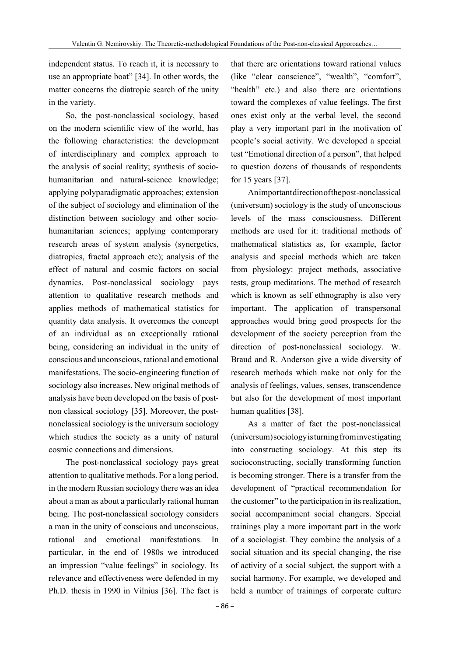independent status. To reach it, it is necessary to use an appropriate boat" [34]. In other words, the matter concerns the diatropic search of the unity in the variety.

So, the post-nonclassical sociology, based on the modern scientific view of the world, has the following characteristics: the development of interdisciplinary and complex approach to the analysis of social reality; synthesis of sociohumanitarian and natural-science knowledge; applying polyparadigmatic approaches; extension of the subject of sociology and elimination of the distinction between sociology and other sociohumanitarian sciences; applying contemporary research areas of system analysis (synergetics, diatropics, fractal approach etc); analysis of the effect of natural and cosmic factors on social dynamics. Post-nonclassical sociology pays attention to qualitative research methods and applies methods of mathematical statistics for quantity data analysis. It overcomes the concept of an individual as an exceptionally rational being, considering an individual in the unity of conscious and unconscious, rational and emotional manifestations. The socio-engineering function of sociology also increases. New original methods of analysis have been developed on the basis of postnon classical sociology [35]. Moreover, the postnonclassical sociology is the universum sociology which studies the society as a unity of natural cosmic connections and dimensions.

The post-nonclassical sociology pays great attention to qualitative methods. For a long period, in the modern Russian sociology there was an idea about a man as about a particularly rational human being. The post-nonclassical sociology considers a man in the unity of conscious and unconscious, rational and emotional manifestations. In particular, in the end of 1980s we introduced an impression "value feelings" in sociology. Its relevance and effectiveness were defended in my Ph.D. thesis in 1990 in Vilnius [36]. The fact is

that there are orientations toward rational values (like "clear conscience", "wealth", "comfort", "health" etc.) and also there are orientations toward the complexes of value feelings. The first ones exist only at the verbal level, the second play a very important part in the motivation of people's social activity. We developed a special test "Emotional direction of a person", that helped to question dozens of thousands of respondents for 15 years [37].

An important direction of the post-nonclassical (universum) sociology is the study of unconscious levels of the mass consciousness. Different methods are used for it: traditional methods of mathematical statistics as, for example, factor analysis and special methods which are taken from physiology: project methods, associative tests, group meditations. The method of research which is known as self ethnography is also very important. The application of transpersonal approaches would bring good prospects for the development of the society perception from the direction of post-nonclassical sociology. W. Braud and R. Anderson give a wide diversity of research methods which make not only for the analysis of feelings, values, senses, transcendence but also for the development of most important human qualities [38].

As a matter of fact the post-nonclassical (universum) sociology is turning from investigating into constructing sociology. At this step its socioconstructing, socially transforming function is becoming stronger. There is a transfer from the development of "practical recommendation for the customer" to the participation in its realization, social accompaniment social changers. Special trainings play a more important part in the work of a sociologist. They combine the analysis of a social situation and its special changing, the rise of activity of a social subject, the support with a social harmony. For example, we developed and held a number of trainings of corporate culture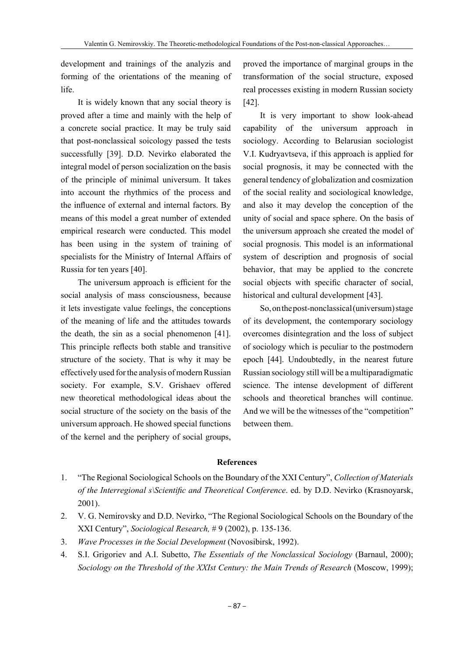development and trainings of the analyzis and forming of the orientations of the meaning of life.

It is widely known that any social theory is proved after a time and mainly with the help of a concrete social practice. It may be truly said that post-nonclassical soicology passed the tests successfully [39]. D.D. Nevirko elaborated the integral model of person socialization on the basis of the principle of minimal universum. It takes into account the rhythmics of the process and the influence of external and internal factors. By means of this model a great number of extended empirical research were conducted. This model has been using in the system of training of specialists for the Ministry of Internal Affairs of Russia for ten years [40].

The universum approach is efficient for the social analysis of mass consciousness, because it lets investigate value feelings, the conceptions of the meaning of life and the attitudes towards the death, the sin as a social phenomenon [41]. This principle reflects both stable and transitive structure of the society. That is why it may be effectively used for the analysis of modern Russian society. For example, S.V. Grishaev offered new theoretical methodological ideas about the social structure of the society on the basis of the universum approach. He showed special functions of the kernel and the periphery of social groups,

proved the importance of marginal groups in the transformation of the social structure, exposed real processes existing in modern Russian society [42].

It is very important to show look-ahead capability of the universum approach in sociology. According to Belarusian sociologist V.I. Kudryavtseva, if this approach is applied for social prognosis, it may be connected with the general tendency of globalization and cosmization of the social reality and sociological knowledge, and also it may develop the conception of the unity of social and space sphere. On the basis of the universum approach she created the model of social prognosis. This model is an informational system of description and prognosis of social behavior, that may be applied to the concrete social objects with specific character of social, historical and cultural development [43].

So, on the post-nonclassical (universum) stage of its development, the contemporary sociology overcomes disintegration and the loss of subject of sociology which is peculiar to the postmodern epoch [44]. Undoubtedly, in the nearest future Russian sociology still will be a multiparadigmatic science. The intense development of different schools and theoretical branches will continue. And we will be the witnesses of the "competition" between them.

## **References**

- 1. "The Regional Sociological Schools on the Boundary of the XXI Century", *Collection of Materials of the Interregional s\Scientific and Theoretical Conference*. ed. by D.D. Nevirko (Krasnoyarsk, 2001).
- 2. V. G. Nemirovsky and D.D. Nevirko, "The Regional Sociological Schools on the Boundary of the XXI Century", *Sociological Research,* # 9 (2002), p. 135-136.
- 3. *Wave Processes in the Social Development* (Novosibirsk, 1992).
- 4. S.I. Grigoriev and A.I. Subetto, *The Essentials of the Nonclassical Sociology* (Barnaul, 2000); *Sociology on the Threshold of the XXIst Century: the Main Trends of Research* (Moscow, 1999);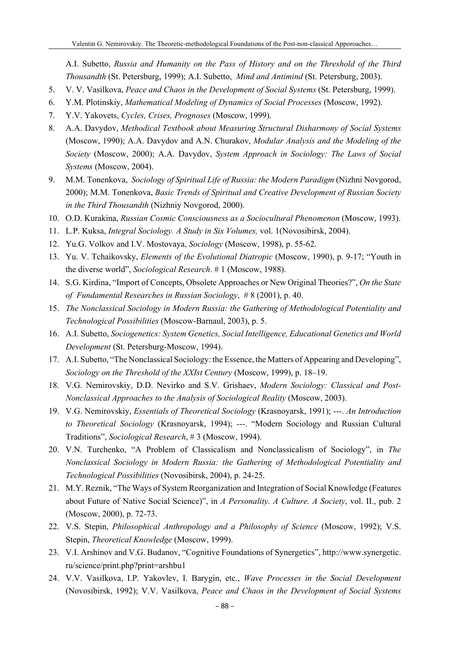A.I. Subetto, *Russia and Humanity on the Pass of History and on the Threshold of the Third Thousandth* (St. Petersburg, 1999); A.I. Subetto, *Mind and Antimind* (St. Petersburg, 2003).

- 5. V. V. Vasilkova, *Peace and Chaos in the Development of Social Systems* (St. Petersburg, 1999).
- 6. Y.M. Plotinskiy, *Mathematical Modeling of Dynamics of Social Processes* (Moscow, 1992).
- 7. Y.V. Yakovets, *Cycles, Crises, Prognoses* (Moscow, 1999).
- 8. A.A. Davydov, *Methodical Textbook about Measuring Structural Disharmony of Social Systems*  (Moscow, 1990); A.A. Davydov and A.N. Churakov, *Modular Analysis and the Modeling of the Society* (Moscow, 2000); A.A. Davydov, *System Approach in Sociology: The Laws of Social Systems* (Moscow, 2004).
- 9. M.M. Tonenkova, *Sociology of Spiritual Life of Russia: the Modern Paradigm* (Nizhni Novgorod, 2000); M.M. Tonenkova, *Basic Trends of Spiritual and Creative Development of Russian Society in the Third Thousandth* (Nizhniy Novgorod, 2000).
- 10. O.D. Kurakina, *Russian Cosmic Consciousness as a Sociocultural Phenomenon* (Moscow, 1993).
- 11. L.P. Kuksa, *Integral Sociology. A Study in Six Volumes,* vol. 1(Novosibirsk, 2004).
- 12. Yu.G. Volkov and I.V. Mostovaya, *Sociology* (Moscow, 1998), p. 55-62.
- 13. Yu. V. Tchaikovsky, *Elements of the Evolutional Diatropic* (Moscow, 1990), p. 9-17; "Youth in the diverse world", *Sociological Research*. # 1 (Moscow, 1988).
- 14. S.G. Kirdina, "Import of Concepts, Obsolete Approaches or New Original Theories?", *On the State of Fundamental Researches in Russian Sociology*, # 8 (2001), p. 40.
- 15. *The Nonclassical Sociology in Modern Russia: the Gathering of Methodological Potentiality and Technological Possibilities* (Moscow-Barnaul, 2003), p. 5.
- 16. A.I. Subetto, *Sociogenetics: System Genetics, Social Intelligence, Educational Genetics and World Development* (St. Petersburg-Moscow, 1994).
- 17. A.I. Subetto, "The Nonclassical Sociology: the Essence, the Matters of Appearing and Developing", *Sociology on the Threshold of the XXIst Century* (Moscow, 1999), p. 18–19.
- 18. V.G. Nemirovskiy, D.D. Nevirko and S.V. Grishaev, *Modern Sociology: Classical and Post-Nonclassical Approaches to the Analysis of Sociological Reality* (Moscow, 2003).
- 19. V.G. Nemirovskiy, *Essentials of Theoretical Sociology* (Krasnoyarsk, 1991); ---. *An Introduction to Theoretical Sociology* (Krasnoyarsk, 1994); ---. "Modern Sociology and Russian Cultural Traditions", *Sociological Research*, # 3 (Moscow, 1994).
- 20. V.N. Turchenko, "A Problem of Classicalism and Nonclassicalism of Sociology", in *The Nonclassical Sociology in Modern Russia: the Gathering of Methodological Potentiality and Technological Possibilities* (Novosibirsk, 2004), p. 24-25.
- 21. M.Y. Reznik, "The Ways of System Reorganization and Integration of Social Knowledge (Features about Future of Native Social Science)", in *A Personality. A Culture. A Society*, vol. II., pub. 2 (Moscow, 2000), p. 72-73.
- 22. V.S. Stepin, *Philosophical Anthropology and a Philosophy of Science* (Moscow, 1992); V.S. Stepin, *Theoretical Knowledge* (Moscow, 1999).
- 23. V.I. Arshinov and V.G. Budanov, "Cognitive Foundations of Synergetics", http://www.synergetic. ru/science/print.php?print=arshbu1
- 24. V.V. Vasilkova, I.P. Yakovlev, I. Barygin, etc., *Wave Processes in the Social Development* (Novosibirsk, 1992); V.V. Vasilkova, *Peace and Chaos in the Development of Social Systems*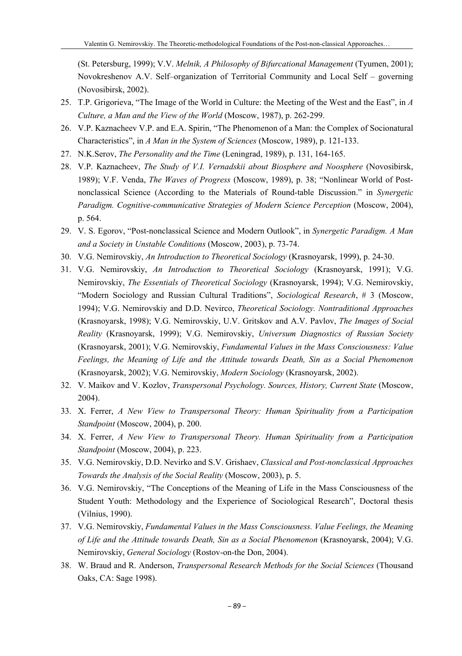(St. Petersburg, 1999); V.V. *Melnik, A Philosophy of Bifurcational Management* (Tyumen, 2001); Novokreshenov A.V. Self–organization of Territorial Community and Local Self – governing (Novosibirsk, 2002).

- 25. T.P. Grigorieva, "The Image of the World in Culture: the Meeting of the West and the East", in *A Culture, a Man and the View of the World* (Moscow, 1987), p. 262-299.
- 26. V.P. Kaznacheev V.P. and E.A. Spirin, "The Phenomenon of a Man: the Complex of Socionatural Characteristics", in *A Man in the System of Sciences* (Moscow, 1989), p. 121-133.
- 27. N.K.Serov, *The Personality and the Time* (Leningrad, 1989), p. 131, 164-165.
- 28. V.P. Kaznacheev, *The Study of V.I. Vernadskii about Biosphere and Noosphere* (Novosibirsk, 1989); V.F. Venda, *The Waves of Progress* (Moscow, 1989), p. 38; "Nonlinear World of Postnonclassical Science (According to the Materials of Round-table Discussion." in *Synergetic Paradigm. Cognitive-communicative Strategies of Modern Science Perception (Moscow, 2004),* p. 564.
- 29. V. S. Egorov, "Post-nonclassical Science and Modern Outlook", in *Synergetic Paradigm. A Man and a Society in Unstable Conditions* (Moscow, 2003), p. 73-74.
- 30. V.G. Nemirovskiy, *An Introduction to Theoretical Sociology* (Krasnoyarsk, 1999), p. 24-30.
- 31. V.G. Nemirovskiy, *An Introduction to Theoretical Sociology* (Krasnoyarsk, 1991); V.G. Nemirovskiy, *The Essentials of Theoretical Sociology* (Krasnoyarsk, 1994); V.G. Nemirovskiy, "Modern Sociology and Russian Cultural Traditions", *Sociological Research*, # 3 (Moscow, 1994); V.G. Nemirovskiy and D.D. Nevirco, *Theoretical Sociology. Nontraditional Approaches* (Krasnoyarsk, 1998); V.G. Nemirovskiy, U.V. Gritskov and A.V. Pavlov, *The Images of Social Reality* (Krasnoyarsk, 1999); V.G. Nemirovskiy, *Universum Diagnostics of Russian Society* (Krasnoyarsk, 2001); V.G. Nemirovskiy, *Fundamental Values in the Mass Consciousness: Value Feelings, the Meaning of Life and the Attitude towards Death, Sin as a Social Phenomenon* (Krasnoyarsk, 2002); V.G. Nemirovskiy, *Modern Sociology* (Krasnoyarsk, 2002).
- 32. V. Maikov and V. Kozlov, *Transpersonal Psychology. Sources, History, Current State* (Moscow, 2004).
- 33. X. Ferrer, *A New View to Transpersonal Theory: Human Spirituality from a Participation Standpoint* (Moscow, 2004), p. 200.
- 34. X. Ferrer, *A New View to Transpersonal Theory. Human Spirituality from a Participation Standpoint* (Moscow, 2004), p. 223.
- 35. V.G. Nemirovskiy, D.D. Nevirko and S.V. Grishaev, *Classical and Post-nonclassical Approaches Towards the Analysis of the Social Reality* (Moscow, 2003), p. 5.
- 36. V.G. Nemirovskiy, "The Conceptions of the Meaning of Life in the Mass Consciousness of the Student Youth: Methodology and the Experience of Sociological Research", Doctoral thesis (Vilnius, 1990).
- 37. V.G. Nemirovskiy, *Fundamental Values in the Mass Consciousness. Value Feelings, the Meaning of Life and the Attitude towards Death, Sin as a Social Phenomenon* (Krasnoyarsk, 2004); V.G. Nemirovskiy, *General Sociology* (Rostov-on-the Don, 2004).
- 38. W. Braud and R. Anderson, *Transpersonal Research Methods for the Social Sciences* (Thousand Oaks, CA: Sage 1998).